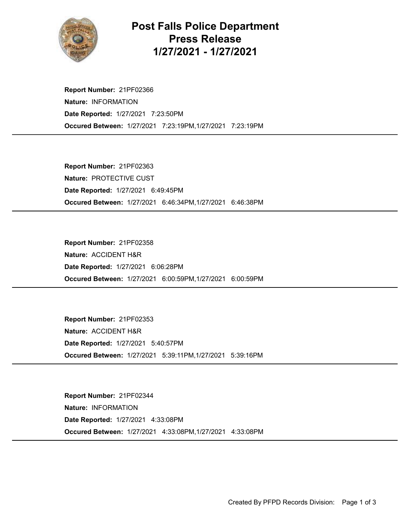

## Post Falls Police Department Press Release 1/27/2021 - 1/27/2021

Occured Between: 1/27/2021 7:23:19PM,1/27/2021 7:23:19PM Report Number: 21PF02366 Nature: INFORMATION Date Reported: 1/27/2021 7:23:50PM

Occured Between: 1/27/2021 6:46:34PM,1/27/2021 6:46:38PM Report Number: 21PF02363 Nature: PROTECTIVE CUST Date Reported: 1/27/2021 6:49:45PM

Occured Between: 1/27/2021 6:00:59PM,1/27/2021 6:00:59PM Report Number: 21PF02358 Nature: ACCIDENT H&R Date Reported: 1/27/2021 6:06:28PM

Occured Between: 1/27/2021 5:39:11PM,1/27/2021 5:39:16PM Report Number: 21PF02353 Nature: ACCIDENT H&R Date Reported: 1/27/2021 5:40:57PM

Occured Between: 1/27/2021 4:33:08PM,1/27/2021 4:33:08PM Report Number: 21PF02344 Nature: INFORMATION Date Reported: 1/27/2021 4:33:08PM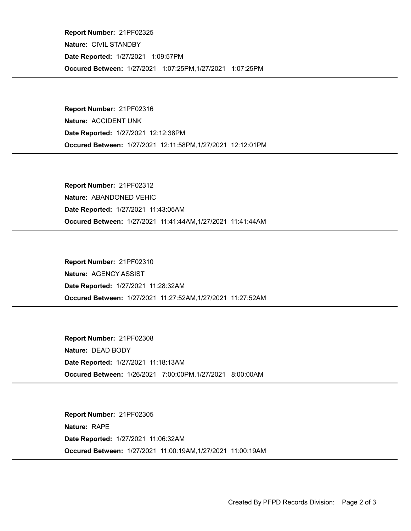Occured Between: 1/27/2021 1:07:25PM,1/27/2021 1:07:25PM Report Number: 21PF02325 Nature: CIVIL STANDBY Date Reported: 1/27/2021 1:09:57PM

Occured Between: 1/27/2021 12:11:58PM,1/27/2021 12:12:01PM Report Number: 21PF02316 Nature: ACCIDENT UNK Date Reported: 1/27/2021 12:12:38PM

Occured Between: 1/27/2021 11:41:44AM,1/27/2021 11:41:44AM Report Number: 21PF02312 Nature: ABANDONED VEHIC Date Reported: 1/27/2021 11:43:05AM

Occured Between: 1/27/2021 11:27:52AM,1/27/2021 11:27:52AM Report Number: 21PF02310 Nature: AGENCY ASSIST Date Reported: 1/27/2021 11:28:32AM

Occured Between: 1/26/2021 7:00:00PM,1/27/2021 8:00:00AM Report Number: 21PF02308 Nature: DEAD BODY Date Reported: 1/27/2021 11:18:13AM

Occured Between: 1/27/2021 11:00:19AM,1/27/2021 11:00:19AM Report Number: 21PF02305 Nature: RAPE Date Reported: 1/27/2021 11:06:32AM